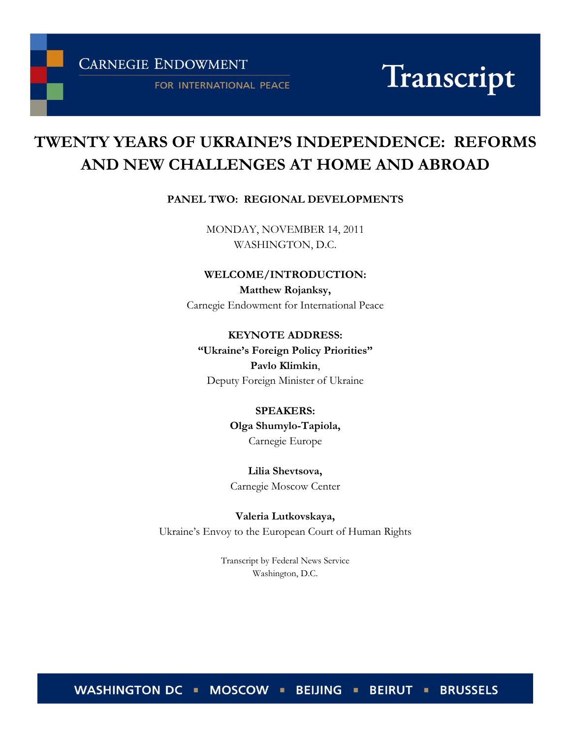**CARNEGIE ENDOWMENT** 

FOR INTERNATIONAL PEACE

# Transcript

# **TWENTY YEARS OF UKRAINE'S INDEPENDENCE: REFORMS AND NEW CHALLENGES AT HOME AND ABROAD**

# **PANEL TWO: REGIONAL DEVELOPMENTS**

MONDAY, NOVEMBER 14, 2011 WASHINGTON, D.C.

**WELCOME/INTRODUCTION:**

**Matthew Rojanksy,** Carnegie Endowment for International Peace

**KEYNOTE ADDRESS:** 

**"Ukraine's Foreign Policy Priorities" Pavlo Klimkin**, Deputy Foreign Minister of Ukraine

> **SPEAKERS: Olga Shumylo-Tapiola,**

Carnegie Europe

**Lilia Shevtsova,** Carnegie Moscow Center

**Valeria Lutkovskaya,** Ukraine's Envoy to the European Court of Human Rights

> Transcript by Federal News Service Washington, D.C.

WASHINGTON DC • MOSCOW • BEIJING • BEIRUT • BRUSSELS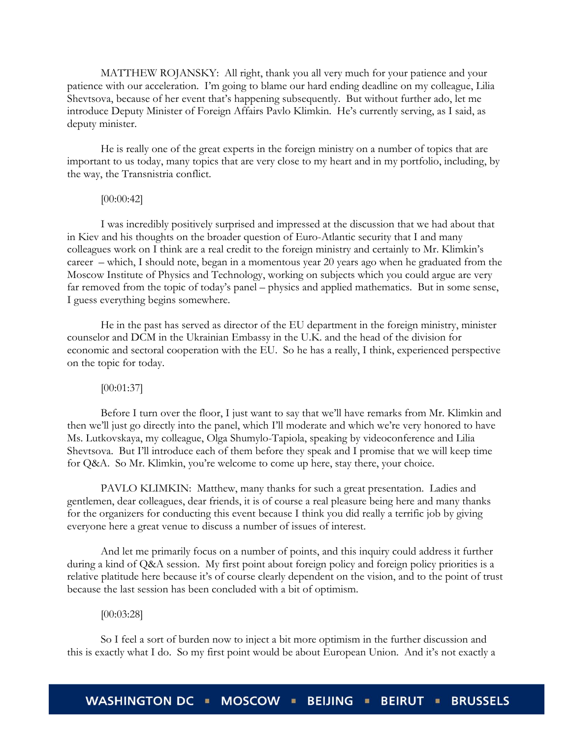MATTHEW ROJANSKY: All right, thank you all very much for your patience and your patience with our acceleration. I'm going to blame our hard ending deadline on my colleague, Lilia Shevtsova, because of her event that's happening subsequently. But without further ado, let me introduce Deputy Minister of Foreign Affairs Pavlo Klimkin. He's currently serving, as I said, as deputy minister.

He is really one of the great experts in the foreign ministry on a number of topics that are important to us today, many topics that are very close to my heart and in my portfolio, including, by the way, the Transnistria conflict.

# [00:00:42]

I was incredibly positively surprised and impressed at the discussion that we had about that in Kiev and his thoughts on the broader question of Euro-Atlantic security that I and many colleagues work on I think are a real credit to the foreign ministry and certainly to Mr. Klimkin's career – which, I should note, began in a momentous year 20 years ago when he graduated from the Moscow Institute of Physics and Technology, working on subjects which you could argue are very far removed from the topic of today's panel – physics and applied mathematics. But in some sense, I guess everything begins somewhere.

He in the past has served as director of the EU department in the foreign ministry, minister counselor and DCM in the Ukrainian Embassy in the U.K. and the head of the division for economic and sectoral cooperation with the EU. So he has a really, I think, experienced perspective on the topic for today.

#### [00:01:37]

Before I turn over the floor, I just want to say that we'll have remarks from Mr. Klimkin and then we'll just go directly into the panel, which I'll moderate and which we're very honored to have Ms. Lutkovskaya, my colleague, Olga Shumylo-Tapiola, speaking by videoconference and Lilia Shevtsova. But I'll introduce each of them before they speak and I promise that we will keep time for Q&A. So Mr. Klimkin, you're welcome to come up here, stay there, your choice.

PAVLO KLIMKIN: Matthew, many thanks for such a great presentation. Ladies and gentlemen, dear colleagues, dear friends, it is of course a real pleasure being here and many thanks for the organizers for conducting this event because I think you did really a terrific job by giving everyone here a great venue to discuss a number of issues of interest.

And let me primarily focus on a number of points, and this inquiry could address it further during a kind of Q&A session. My first point about foreign policy and foreign policy priorities is a relative platitude here because it's of course clearly dependent on the vision, and to the point of trust because the last session has been concluded with a bit of optimism.

#### [00:03:28]

So I feel a sort of burden now to inject a bit more optimism in the further discussion and this is exactly what I do. So my first point would be about European Union. And it's not exactly a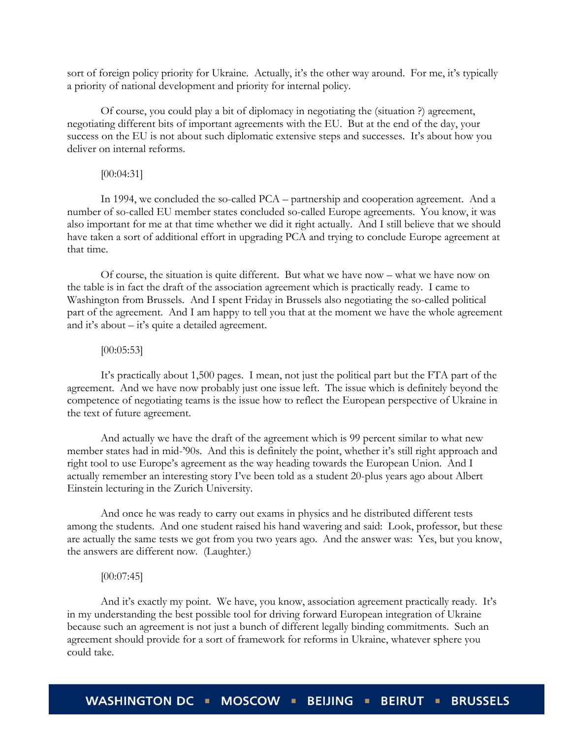sort of foreign policy priority for Ukraine. Actually, it's the other way around. For me, it's typically a priority of national development and priority for internal policy.

Of course, you could play a bit of diplomacy in negotiating the (situation ?) agreement, negotiating different bits of important agreements with the EU. But at the end of the day, your success on the EU is not about such diplomatic extensive steps and successes. It's about how you deliver on internal reforms.

# [00:04:31]

In 1994, we concluded the so-called PCA – partnership and cooperation agreement. And a number of so-called EU member states concluded so-called Europe agreements. You know, it was also important for me at that time whether we did it right actually. And I still believe that we should have taken a sort of additional effort in upgrading PCA and trying to conclude Europe agreement at that time.

Of course, the situation is quite different. But what we have now – what we have now on the table is in fact the draft of the association agreement which is practically ready. I came to Washington from Brussels. And I spent Friday in Brussels also negotiating the so-called political part of the agreement. And I am happy to tell you that at the moment we have the whole agreement and it's about – it's quite a detailed agreement.

# [00:05:53]

It's practically about 1,500 pages. I mean, not just the political part but the FTA part of the agreement. And we have now probably just one issue left. The issue which is definitely beyond the competence of negotiating teams is the issue how to reflect the European perspective of Ukraine in the text of future agreement.

And actually we have the draft of the agreement which is 99 percent similar to what new member states had in mid-'90s. And this is definitely the point, whether it's still right approach and right tool to use Europe's agreement as the way heading towards the European Union. And I actually remember an interesting story I've been told as a student 20-plus years ago about Albert Einstein lecturing in the Zurich University.

And once he was ready to carry out exams in physics and he distributed different tests among the students. And one student raised his hand wavering and said: Look, professor, but these are actually the same tests we got from you two years ago. And the answer was: Yes, but you know, the answers are different now. (Laughter.)

#### $[00:07:45]$

And it's exactly my point. We have, you know, association agreement practically ready. It's in my understanding the best possible tool for driving forward European integration of Ukraine because such an agreement is not just a bunch of different legally binding commitments. Such an agreement should provide for a sort of framework for reforms in Ukraine, whatever sphere you could take.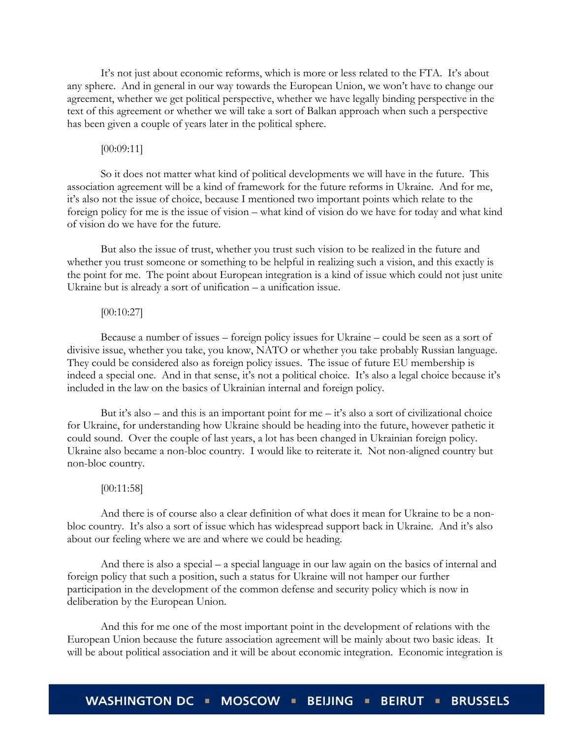It's not just about economic reforms, which is more or less related to the FTA. It's about any sphere. And in general in our way towards the European Union, we won't have to change our agreement, whether we get political perspective, whether we have legally binding perspective in the text of this agreement or whether we will take a sort of Balkan approach when such a perspective has been given a couple of years later in the political sphere.

# [00:09:11]

So it does not matter what kind of political developments we will have in the future. This association agreement will be a kind of framework for the future reforms in Ukraine. And for me, it's also not the issue of choice, because I mentioned two important points which relate to the foreign policy for me is the issue of vision – what kind of vision do we have for today and what kind of vision do we have for the future.

But also the issue of trust, whether you trust such vision to be realized in the future and whether you trust someone or something to be helpful in realizing such a vision, and this exactly is the point for me. The point about European integration is a kind of issue which could not just unite Ukraine but is already a sort of unification – a unification issue.

# [00:10:27]

Because a number of issues – foreign policy issues for Ukraine – could be seen as a sort of divisive issue, whether you take, you know, NATO or whether you take probably Russian language. They could be considered also as foreign policy issues. The issue of future EU membership is indeed a special one. And in that sense, it's not a political choice. It's also a legal choice because it's included in the law on the basics of Ukrainian internal and foreign policy.

But it's also – and this is an important point for  $me - it$ 's also a sort of civilizational choice for Ukraine, for understanding how Ukraine should be heading into the future, however pathetic it could sound. Over the couple of last years, a lot has been changed in Ukrainian foreign policy. Ukraine also became a non-bloc country. I would like to reiterate it. Not non-aligned country but non-bloc country.

#### [00:11:58]

And there is of course also a clear definition of what does it mean for Ukraine to be a nonbloc country. It's also a sort of issue which has widespread support back in Ukraine. And it's also about our feeling where we are and where we could be heading.

And there is also a special – a special language in our law again on the basics of internal and foreign policy that such a position, such a status for Ukraine will not hamper our further participation in the development of the common defense and security policy which is now in deliberation by the European Union.

And this for me one of the most important point in the development of relations with the European Union because the future association agreement will be mainly about two basic ideas. It will be about political association and it will be about economic integration. Economic integration is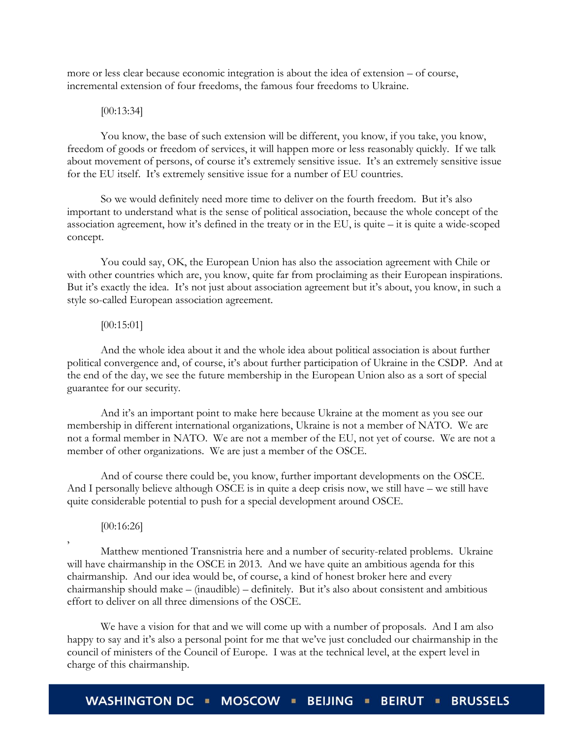more or less clear because economic integration is about the idea of extension – of course, incremental extension of four freedoms, the famous four freedoms to Ukraine.

#### [00:13:34]

You know, the base of such extension will be different, you know, if you take, you know, freedom of goods or freedom of services, it will happen more or less reasonably quickly. If we talk about movement of persons, of course it's extremely sensitive issue. It's an extremely sensitive issue for the EU itself. It's extremely sensitive issue for a number of EU countries.

So we would definitely need more time to deliver on the fourth freedom. But it's also important to understand what is the sense of political association, because the whole concept of the association agreement, how it's defined in the treaty or in the EU, is quite – it is quite a wide-scoped concept.

You could say, OK, the European Union has also the association agreement with Chile or with other countries which are, you know, quite far from proclaiming as their European inspirations. But it's exactly the idea. It's not just about association agreement but it's about, you know, in such a style so-called European association agreement.

# [00:15:01]

And the whole idea about it and the whole idea about political association is about further political convergence and, of course, it's about further participation of Ukraine in the CSDP. And at the end of the day, we see the future membership in the European Union also as a sort of special guarantee for our security.

And it's an important point to make here because Ukraine at the moment as you see our membership in different international organizations, Ukraine is not a member of NATO. We are not a formal member in NATO. We are not a member of the EU, not yet of course. We are not a member of other organizations. We are just a member of the OSCE.

And of course there could be, you know, further important developments on the OSCE. And I personally believe although OSCE is in quite a deep crisis now, we still have – we still have quite considerable potential to push for a special development around OSCE.

# [00:16:26]

,

Matthew mentioned Transnistria here and a number of security-related problems. Ukraine will have chairmanship in the OSCE in 2013. And we have quite an ambitious agenda for this chairmanship. And our idea would be, of course, a kind of honest broker here and every chairmanship should make – (inaudible) – definitely. But it's also about consistent and ambitious effort to deliver on all three dimensions of the OSCE.

We have a vision for that and we will come up with a number of proposals. And I am also happy to say and it's also a personal point for me that we've just concluded our chairmanship in the council of ministers of the Council of Europe. I was at the technical level, at the expert level in charge of this chairmanship.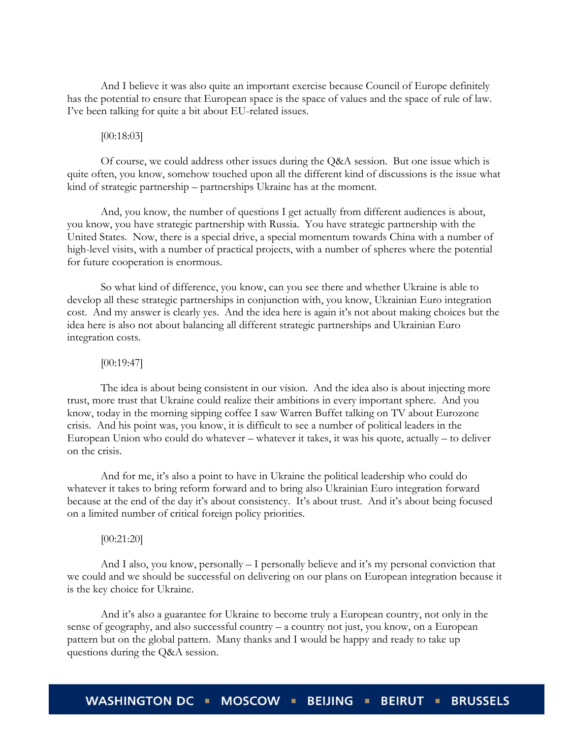And I believe it was also quite an important exercise because Council of Europe definitely has the potential to ensure that European space is the space of values and the space of rule of law. I've been talking for quite a bit about EU-related issues.

# [00:18:03]

Of course, we could address other issues during the Q&A session. But one issue which is quite often, you know, somehow touched upon all the different kind of discussions is the issue what kind of strategic partnership – partnerships Ukraine has at the moment.

And, you know, the number of questions I get actually from different audiences is about, you know, you have strategic partnership with Russia. You have strategic partnership with the United States. Now, there is a special drive, a special momentum towards China with a number of high-level visits, with a number of practical projects, with a number of spheres where the potential for future cooperation is enormous.

So what kind of difference, you know, can you see there and whether Ukraine is able to develop all these strategic partnerships in conjunction with, you know, Ukrainian Euro integration cost. And my answer is clearly yes. And the idea here is again it's not about making choices but the idea here is also not about balancing all different strategic partnerships and Ukrainian Euro integration costs.

# [00:19:47]

The idea is about being consistent in our vision. And the idea also is about injecting more trust, more trust that Ukraine could realize their ambitions in every important sphere. And you know, today in the morning sipping coffee I saw Warren Buffet talking on TV about Eurozone crisis. And his point was, you know, it is difficult to see a number of political leaders in the European Union who could do whatever – whatever it takes, it was his quote, actually – to deliver on the crisis.

And for me, it's also a point to have in Ukraine the political leadership who could do whatever it takes to bring reform forward and to bring also Ukrainian Euro integration forward because at the end of the day it's about consistency. It's about trust. And it's about being focused on a limited number of critical foreign policy priorities.

#### [00:21:20]

And I also, you know, personally  $-$  I personally believe and it's my personal conviction that we could and we should be successful on delivering on our plans on European integration because it is the key choice for Ukraine.

And it's also a guarantee for Ukraine to become truly a European country, not only in the sense of geography, and also successful country – a country not just, you know, on a European pattern but on the global pattern. Many thanks and I would be happy and ready to take up questions during the Q&A session.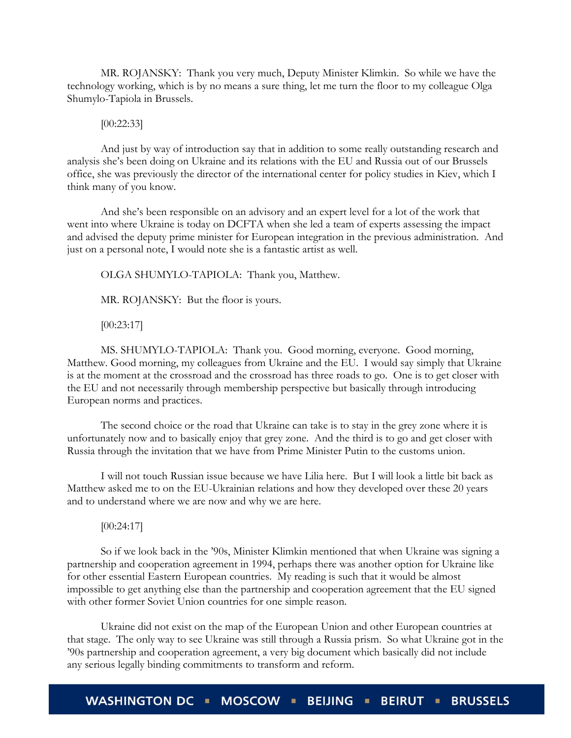MR. ROJANSKY: Thank you very much, Deputy Minister Klimkin. So while we have the technology working, which is by no means a sure thing, let me turn the floor to my colleague Olga Shumylo-Tapiola in Brussels.

[00:22:33]

And just by way of introduction say that in addition to some really outstanding research and analysis she's been doing on Ukraine and its relations with the EU and Russia out of our Brussels office, she was previously the director of the international center for policy studies in Kiev, which I think many of you know.

And she's been responsible on an advisory and an expert level for a lot of the work that went into where Ukraine is today on DCFTA when she led a team of experts assessing the impact and advised the deputy prime minister for European integration in the previous administration. And just on a personal note, I would note she is a fantastic artist as well.

OLGA SHUMYLO-TAPIOLA: Thank you, Matthew.

MR. ROJANSKY: But the floor is yours.

[00:23:17]

MS. SHUMYLO-TAPIOLA: Thank you. Good morning, everyone. Good morning, Matthew. Good morning, my colleagues from Ukraine and the EU. I would say simply that Ukraine is at the moment at the crossroad and the crossroad has three roads to go. One is to get closer with the EU and not necessarily through membership perspective but basically through introducing European norms and practices.

The second choice or the road that Ukraine can take is to stay in the grey zone where it is unfortunately now and to basically enjoy that grey zone. And the third is to go and get closer with Russia through the invitation that we have from Prime Minister Putin to the customs union.

I will not touch Russian issue because we have Lilia here. But I will look a little bit back as Matthew asked me to on the EU-Ukrainian relations and how they developed over these 20 years and to understand where we are now and why we are here.

[00:24:17]

So if we look back in the '90s, Minister Klimkin mentioned that when Ukraine was signing a partnership and cooperation agreement in 1994, perhaps there was another option for Ukraine like for other essential Eastern European countries. My reading is such that it would be almost impossible to get anything else than the partnership and cooperation agreement that the EU signed with other former Soviet Union countries for one simple reason.

Ukraine did not exist on the map of the European Union and other European countries at that stage. The only way to see Ukraine was still through a Russia prism. So what Ukraine got in the '90s partnership and cooperation agreement, a very big document which basically did not include any serious legally binding commitments to transform and reform.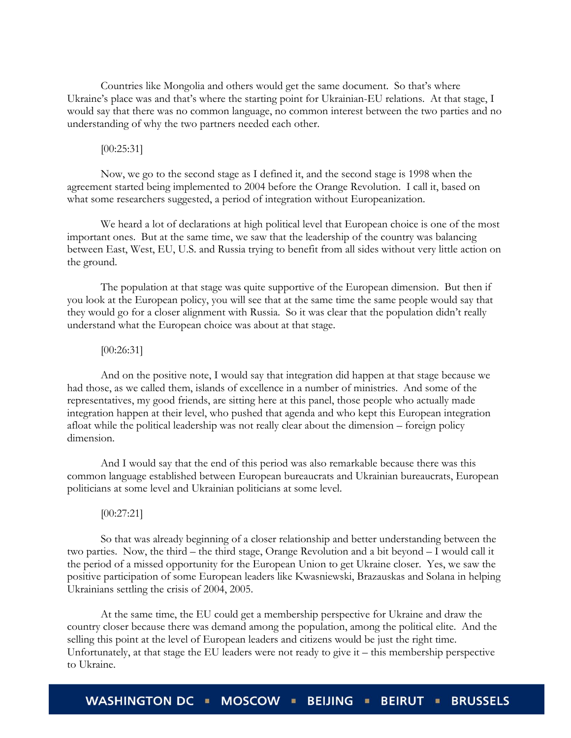Countries like Mongolia and others would get the same document. So that's where Ukraine's place was and that's where the starting point for Ukrainian-EU relations. At that stage, I would say that there was no common language, no common interest between the two parties and no understanding of why the two partners needed each other.

# [00:25:31]

Now, we go to the second stage as I defined it, and the second stage is 1998 when the agreement started being implemented to 2004 before the Orange Revolution. I call it, based on what some researchers suggested, a period of integration without Europeanization.

We heard a lot of declarations at high political level that European choice is one of the most important ones. But at the same time, we saw that the leadership of the country was balancing between East, West, EU, U.S. and Russia trying to benefit from all sides without very little action on the ground.

The population at that stage was quite supportive of the European dimension. But then if you look at the European policy, you will see that at the same time the same people would say that they would go for a closer alignment with Russia. So it was clear that the population didn't really understand what the European choice was about at that stage.

# [00:26:31]

And on the positive note, I would say that integration did happen at that stage because we had those, as we called them, islands of excellence in a number of ministries. And some of the representatives, my good friends, are sitting here at this panel, those people who actually made integration happen at their level, who pushed that agenda and who kept this European integration afloat while the political leadership was not really clear about the dimension – foreign policy dimension.

And I would say that the end of this period was also remarkable because there was this common language established between European bureaucrats and Ukrainian bureaucrats, European politicians at some level and Ukrainian politicians at some level.

# [00:27:21]

So that was already beginning of a closer relationship and better understanding between the two parties. Now, the third – the third stage, Orange Revolution and a bit beyond – I would call it the period of a missed opportunity for the European Union to get Ukraine closer. Yes, we saw the positive participation of some European leaders like Kwasniewski, Brazauskas and Solana in helping Ukrainians settling the crisis of 2004, 2005.

At the same time, the EU could get a membership perspective for Ukraine and draw the country closer because there was demand among the population, among the political elite. And the selling this point at the level of European leaders and citizens would be just the right time. Unfortunately, at that stage the EU leaders were not ready to give it – this membership perspective to Ukraine.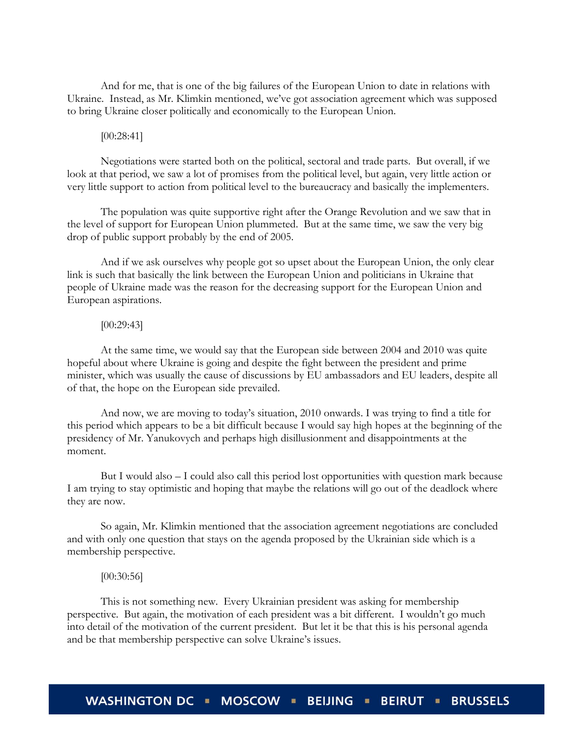And for me, that is one of the big failures of the European Union to date in relations with Ukraine. Instead, as Mr. Klimkin mentioned, we've got association agreement which was supposed to bring Ukraine closer politically and economically to the European Union.

#### [00:28:41]

Negotiations were started both on the political, sectoral and trade parts. But overall, if we look at that period, we saw a lot of promises from the political level, but again, very little action or very little support to action from political level to the bureaucracy and basically the implementers.

The population was quite supportive right after the Orange Revolution and we saw that in the level of support for European Union plummeted. But at the same time, we saw the very big drop of public support probably by the end of 2005.

And if we ask ourselves why people got so upset about the European Union, the only clear link is such that basically the link between the European Union and politicians in Ukraine that people of Ukraine made was the reason for the decreasing support for the European Union and European aspirations.

#### $[00:29:43]$

At the same time, we would say that the European side between 2004 and 2010 was quite hopeful about where Ukraine is going and despite the fight between the president and prime minister, which was usually the cause of discussions by EU ambassadors and EU leaders, despite all of that, the hope on the European side prevailed.

And now, we are moving to today's situation, 2010 onwards. I was trying to find a title for this period which appears to be a bit difficult because I would say high hopes at the beginning of the presidency of Mr. Yanukovych and perhaps high disillusionment and disappointments at the moment.

But I would also – I could also call this period lost opportunities with question mark because I am trying to stay optimistic and hoping that maybe the relations will go out of the deadlock where they are now.

So again, Mr. Klimkin mentioned that the association agreement negotiations are concluded and with only one question that stays on the agenda proposed by the Ukrainian side which is a membership perspective.

#### [00:30:56]

This is not something new. Every Ukrainian president was asking for membership perspective. But again, the motivation of each president was a bit different. I wouldn't go much into detail of the motivation of the current president. But let it be that this is his personal agenda and be that membership perspective can solve Ukraine's issues.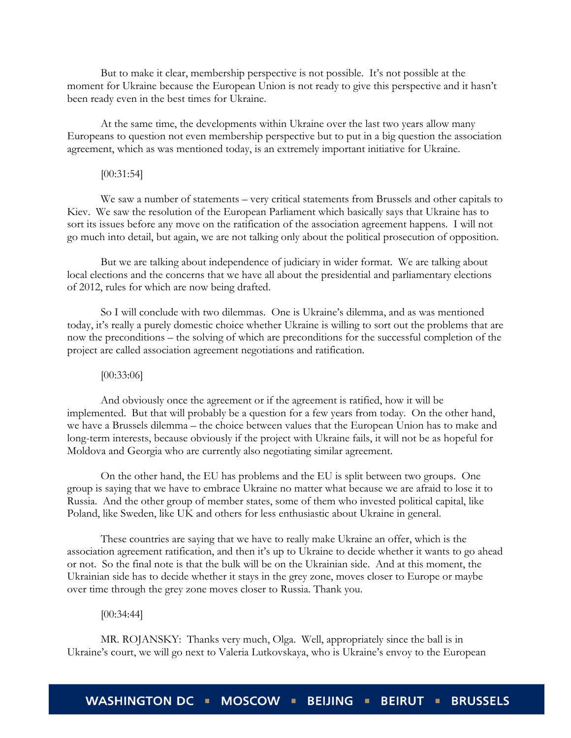But to make it clear, membership perspective is not possible. It's not possible at the moment for Ukraine because the European Union is not ready to give this perspective and it hasn't been ready even in the best times for Ukraine.

At the same time, the developments within Ukraine over the last two years allow many Europeans to question not even membership perspective but to put in a big question the association agreement, which as was mentioned today, is an extremely important initiative for Ukraine.

# [00:31:54]

We saw a number of statements – very critical statements from Brussels and other capitals to Kiev. We saw the resolution of the European Parliament which basically says that Ukraine has to sort its issues before any move on the ratification of the association agreement happens. I will not go much into detail, but again, we are not talking only about the political prosecution of opposition.

But we are talking about independence of judiciary in wider format. We are talking about local elections and the concerns that we have all about the presidential and parliamentary elections of 2012, rules for which are now being drafted.

So I will conclude with two dilemmas. One is Ukraine's dilemma, and as was mentioned today, it's really a purely domestic choice whether Ukraine is willing to sort out the problems that are now the preconditions – the solving of which are preconditions for the successful completion of the project are called association agreement negotiations and ratification.

#### [00:33:06]

And obviously once the agreement or if the agreement is ratified, how it will be implemented. But that will probably be a question for a few years from today. On the other hand, we have a Brussels dilemma – the choice between values that the European Union has to make and long-term interests, because obviously if the project with Ukraine fails, it will not be as hopeful for Moldova and Georgia who are currently also negotiating similar agreement.

On the other hand, the EU has problems and the EU is split between two groups. One group is saying that we have to embrace Ukraine no matter what because we are afraid to lose it to Russia. And the other group of member states, some of them who invested political capital, like Poland, like Sweden, like UK and others for less enthusiastic about Ukraine in general.

These countries are saying that we have to really make Ukraine an offer, which is the association agreement ratification, and then it's up to Ukraine to decide whether it wants to go ahead or not. So the final note is that the bulk will be on the Ukrainian side. And at this moment, the Ukrainian side has to decide whether it stays in the grey zone, moves closer to Europe or maybe over time through the grey zone moves closer to Russia. Thank you.

# [00:34:44]

MR. ROJANSKY: Thanks very much, Olga. Well, appropriately since the ball is in Ukraine's court, we will go next to Valeria Lutkovskaya, who is Ukraine's envoy to the European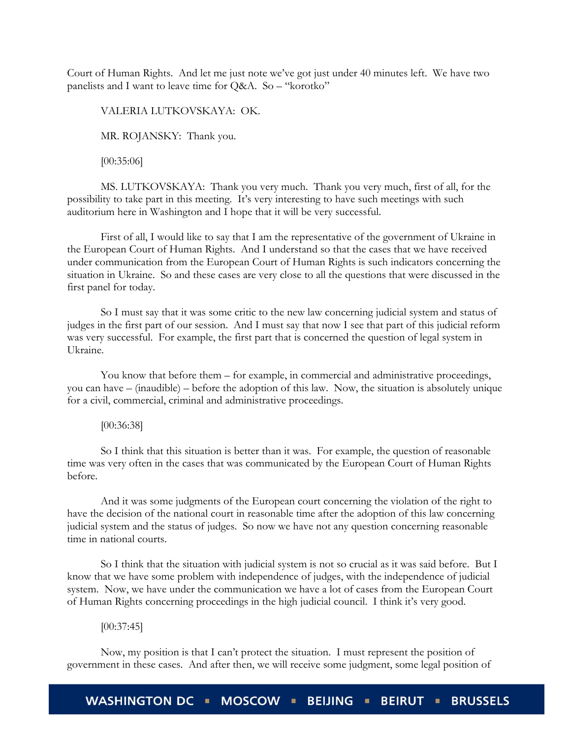Court of Human Rights. And let me just note we've got just under 40 minutes left. We have two panelists and I want to leave time for Q&A. So – "korotko"

VALERIA LUTKOVSKAYA: OK.

MR. ROJANSKY: Thank you.

[00:35:06]

MS. LUTKOVSKAYA: Thank you very much. Thank you very much, first of all, for the possibility to take part in this meeting. It's very interesting to have such meetings with such auditorium here in Washington and I hope that it will be very successful.

First of all, I would like to say that I am the representative of the government of Ukraine in the European Court of Human Rights. And I understand so that the cases that we have received under communication from the European Court of Human Rights is such indicators concerning the situation in Ukraine. So and these cases are very close to all the questions that were discussed in the first panel for today.

So I must say that it was some critic to the new law concerning judicial system and status of judges in the first part of our session. And I must say that now I see that part of this judicial reform was very successful. For example, the first part that is concerned the question of legal system in Ukraine.

You know that before them – for example, in commercial and administrative proceedings, you can have – (inaudible) – before the adoption of this law. Now, the situation is absolutely unique for a civil, commercial, criminal and administrative proceedings.

# [00:36:38]

So I think that this situation is better than it was. For example, the question of reasonable time was very often in the cases that was communicated by the European Court of Human Rights before.

And it was some judgments of the European court concerning the violation of the right to have the decision of the national court in reasonable time after the adoption of this law concerning judicial system and the status of judges. So now we have not any question concerning reasonable time in national courts.

So I think that the situation with judicial system is not so crucial as it was said before. But I know that we have some problem with independence of judges, with the independence of judicial system. Now, we have under the communication we have a lot of cases from the European Court of Human Rights concerning proceedings in the high judicial council. I think it's very good.

#### $[00:37:45]$

Now, my position is that I can't protect the situation. I must represent the position of government in these cases. And after then, we will receive some judgment, some legal position of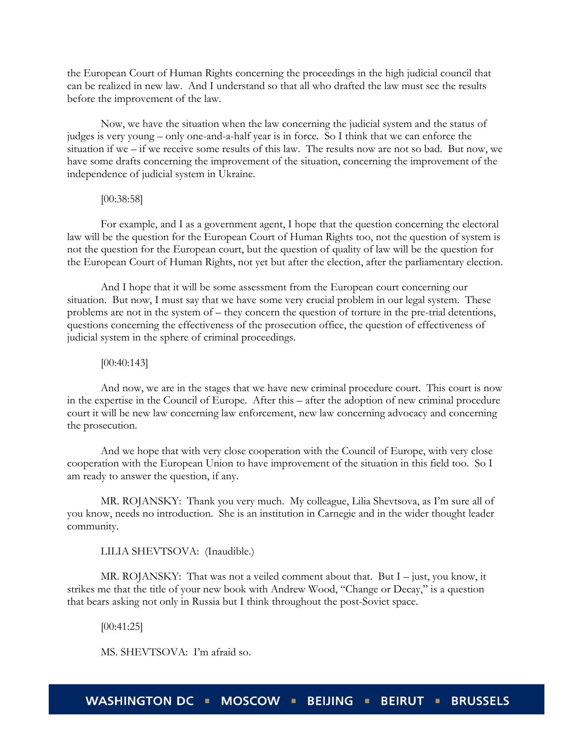the European Court of Human Rights concerning the proceedings in the high judicial council that can be realized in new law. And I understand so that all who drafted the law must see the results before the improvement of the law.

Now, we have the situation when the law concerning the judicial system and the status of judges is very young – only one-and-a-half year is in force. So I think that we can enforce the situation if we – if we receive some results of this law. The results now are not so bad. But now, we have some drafts concerning the improvement of the situation, concerning the improvement of the independence of judicial system in Ukraine.

# [00:38:58]

For example, and I as a government agent, I hope that the question concerning the electoral law will be the question for the European Court of Human Rights too, not the question of system is not the question for the European court, but the question of quality of law will be the question for the European Court of Human Rights, not yet but after the election, after the parliamentary election.

And I hope that it will be some assessment from the European court concerning our situation. But now, I must say that we have some very crucial problem in our legal system. These problems are not in the system of – they concern the question of torture in the pre-trial detentions, questions concerning the effectiveness of the prosecution office, the question of effectiveness of judicial system in the sphere of criminal proceedings.

#### [00:40:143]

And now, we are in the stages that we have new criminal procedure court. This court is now in the expertise in the Council of Europe. After this – after the adoption of new criminal procedure court it will be new law concerning law enforcement, new law concerning advocacy and concerning the prosecution.

And we hope that with very close cooperation with the Council of Europe, with very close cooperation with the European Union to have improvement of the situation in this field too. So I am ready to answer the question, if any.

MR. ROJANSKY: Thank you very much. My colleague, Lilia Shevtsova, as I'm sure all of you know, needs no introduction. She is an institution in Carnegie and in the wider thought leader community.

LILIA SHEVTSOVA: (Inaudible.)

MR. ROJANSKY: That was not a veiled comment about that. But I – just, you know, it strikes me that the title of your new book with Andrew Wood, "Change or Decay," is a question that bears asking not only in Russia but I think throughout the post-Soviet space.

[00:41:25]

MS. SHEVTSOVA: I'm afraid so.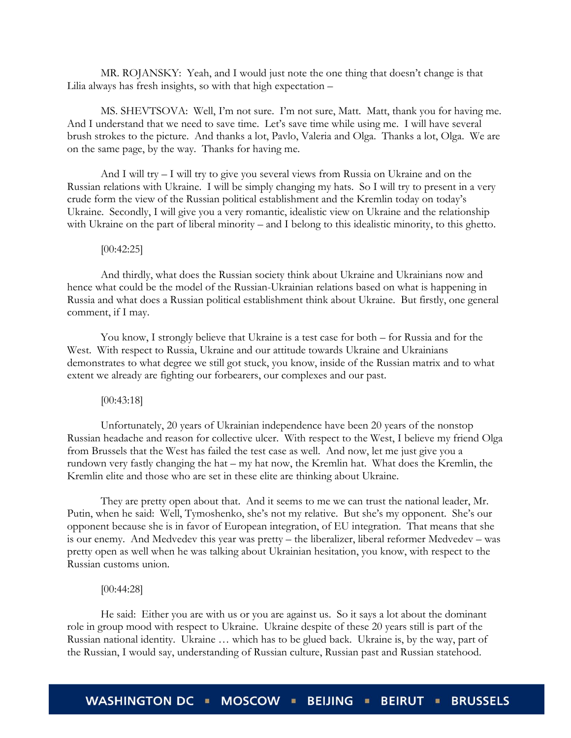MR. ROJANSKY: Yeah, and I would just note the one thing that doesn't change is that Lilia always has fresh insights, so with that high expectation –

MS. SHEVTSOVA: Well, I'm not sure. I'm not sure, Matt. Matt, thank you for having me. And I understand that we need to save time. Let's save time while using me. I will have several brush strokes to the picture. And thanks a lot, Pavlo, Valeria and Olga. Thanks a lot, Olga. We are on the same page, by the way. Thanks for having me.

And I will try – I will try to give you several views from Russia on Ukraine and on the Russian relations with Ukraine. I will be simply changing my hats. So I will try to present in a very crude form the view of the Russian political establishment and the Kremlin today on today's Ukraine. Secondly, I will give you a very romantic, idealistic view on Ukraine and the relationship with Ukraine on the part of liberal minority – and I belong to this idealistic minority, to this ghetto.

#### $[00:42:25]$

And thirdly, what does the Russian society think about Ukraine and Ukrainians now and hence what could be the model of the Russian-Ukrainian relations based on what is happening in Russia and what does a Russian political establishment think about Ukraine. But firstly, one general comment, if I may.

You know, I strongly believe that Ukraine is a test case for both – for Russia and for the West. With respect to Russia, Ukraine and our attitude towards Ukraine and Ukrainians demonstrates to what degree we still got stuck, you know, inside of the Russian matrix and to what extent we already are fighting our forbearers, our complexes and our past.

#### [00:43:18]

Unfortunately, 20 years of Ukrainian independence have been 20 years of the nonstop Russian headache and reason for collective ulcer. With respect to the West, I believe my friend Olga from Brussels that the West has failed the test case as well. And now, let me just give you a rundown very fastly changing the hat – my hat now, the Kremlin hat. What does the Kremlin, the Kremlin elite and those who are set in these elite are thinking about Ukraine.

They are pretty open about that. And it seems to me we can trust the national leader, Mr. Putin, when he said: Well, Tymoshenko, she's not my relative. But she's my opponent. She's our opponent because she is in favor of European integration, of EU integration. That means that she is our enemy. And Medvedev this year was pretty – the liberalizer, liberal reformer Medvedev – was pretty open as well when he was talking about Ukrainian hesitation, you know, with respect to the Russian customs union.

# [00:44:28]

He said: Either you are with us or you are against us. So it says a lot about the dominant role in group mood with respect to Ukraine. Ukraine despite of these 20 years still is part of the Russian national identity. Ukraine … which has to be glued back. Ukraine is, by the way, part of the Russian, I would say, understanding of Russian culture, Russian past and Russian statehood.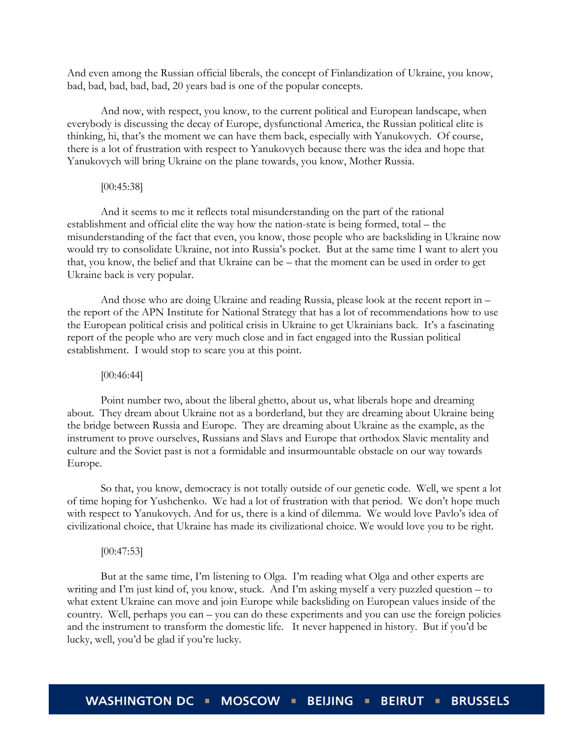And even among the Russian official liberals, the concept of Finlandization of Ukraine, you know, bad, bad, bad, bad, bad, 20 years bad is one of the popular concepts.

And now, with respect, you know, to the current political and European landscape, when everybody is discussing the decay of Europe, dysfunctional America, the Russian political elite is thinking, hi, that's the moment we can have them back, especially with Yanukovych. Of course, there is a lot of frustration with respect to Yanukovych because there was the idea and hope that Yanukovych will bring Ukraine on the plane towards, you know, Mother Russia.

#### [00:45:38]

And it seems to me it reflects total misunderstanding on the part of the rational establishment and official elite the way how the nation-state is being formed, total – the misunderstanding of the fact that even, you know, those people who are backsliding in Ukraine now would try to consolidate Ukraine, not into Russia's pocket. But at the same time I want to alert you that, you know, the belief and that Ukraine can be – that the moment can be used in order to get Ukraine back is very popular.

And those who are doing Ukraine and reading Russia, please look at the recent report in – the report of the APN Institute for National Strategy that has a lot of recommendations how to use the European political crisis and political crisis in Ukraine to get Ukrainians back. It's a fascinating report of the people who are very much close and in fact engaged into the Russian political establishment. I would stop to scare you at this point.

#### [00:46:44]

Point number two, about the liberal ghetto, about us, what liberals hope and dreaming about. They dream about Ukraine not as a borderland, but they are dreaming about Ukraine being the bridge between Russia and Europe. They are dreaming about Ukraine as the example, as the instrument to prove ourselves, Russians and Slavs and Europe that orthodox Slavic mentality and culture and the Soviet past is not a formidable and insurmountable obstacle on our way towards Europe.

So that, you know, democracy is not totally outside of our genetic code. Well, we spent a lot of time hoping for Yushchenko. We had a lot of frustration with that period. We don't hope much with respect to Yanukovych. And for us, there is a kind of dilemma. We would love Pavlo's idea of civilizational choice, that Ukraine has made its civilizational choice. We would love you to be right.

#### [00:47:53]

But at the same time, I'm listening to Olga. I'm reading what Olga and other experts are writing and I'm just kind of, you know, stuck. And I'm asking myself a very puzzled question – to what extent Ukraine can move and join Europe while backsliding on European values inside of the country. Well, perhaps you can – you can do these experiments and you can use the foreign policies and the instrument to transform the domestic life. It never happened in history. But if you'd be lucky, well, you'd be glad if you're lucky.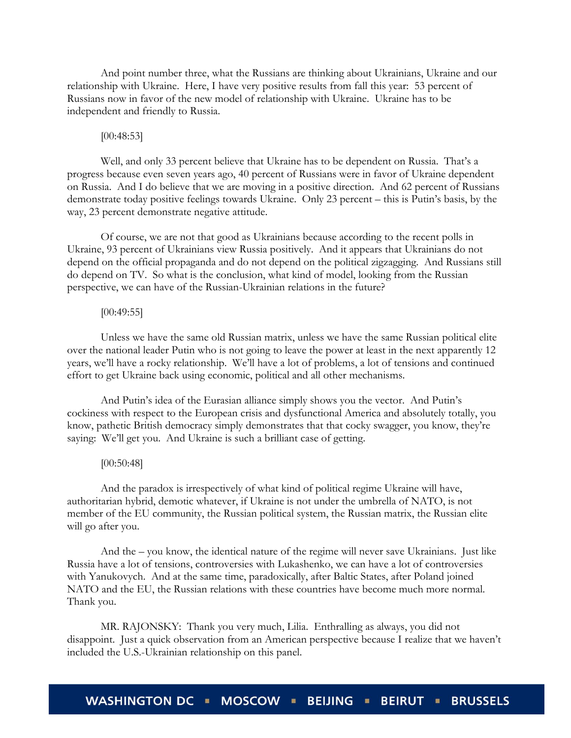And point number three, what the Russians are thinking about Ukrainians, Ukraine and our relationship with Ukraine. Here, I have very positive results from fall this year: 53 percent of Russians now in favor of the new model of relationship with Ukraine. Ukraine has to be independent and friendly to Russia.

#### [00:48:53]

Well, and only 33 percent believe that Ukraine has to be dependent on Russia. That's a progress because even seven years ago, 40 percent of Russians were in favor of Ukraine dependent on Russia. And I do believe that we are moving in a positive direction. And 62 percent of Russians demonstrate today positive feelings towards Ukraine. Only 23 percent – this is Putin's basis, by the way, 23 percent demonstrate negative attitude.

Of course, we are not that good as Ukrainians because according to the recent polls in Ukraine, 93 percent of Ukrainians view Russia positively. And it appears that Ukrainians do not depend on the official propaganda and do not depend on the political zigzagging. And Russians still do depend on TV. So what is the conclusion, what kind of model, looking from the Russian perspective, we can have of the Russian-Ukrainian relations in the future?

# [00:49:55]

Unless we have the same old Russian matrix, unless we have the same Russian political elite over the national leader Putin who is not going to leave the power at least in the next apparently 12 years, we'll have a rocky relationship. We'll have a lot of problems, a lot of tensions and continued effort to get Ukraine back using economic, political and all other mechanisms.

And Putin's idea of the Eurasian alliance simply shows you the vector. And Putin's cockiness with respect to the European crisis and dysfunctional America and absolutely totally, you know, pathetic British democracy simply demonstrates that that cocky swagger, you know, they're saying: We'll get you. And Ukraine is such a brilliant case of getting.

# [00:50:48]

And the paradox is irrespectively of what kind of political regime Ukraine will have, authoritarian hybrid, demotic whatever, if Ukraine is not under the umbrella of NATO, is not member of the EU community, the Russian political system, the Russian matrix, the Russian elite will go after you.

And the – you know, the identical nature of the regime will never save Ukrainians. Just like Russia have a lot of tensions, controversies with Lukashenko, we can have a lot of controversies with Yanukovych. And at the same time, paradoxically, after Baltic States, after Poland joined NATO and the EU, the Russian relations with these countries have become much more normal. Thank you.

MR. RAJONSKY: Thank you very much, Lilia. Enthralling as always, you did not disappoint. Just a quick observation from an American perspective because I realize that we haven't included the U.S.-Ukrainian relationship on this panel.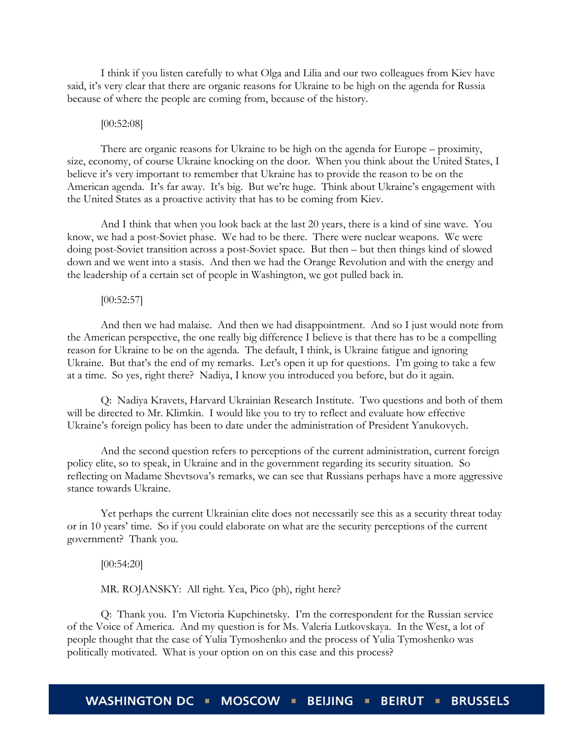I think if you listen carefully to what Olga and Lilia and our two colleagues from Kiev have said, it's very clear that there are organic reasons for Ukraine to be high on the agenda for Russia because of where the people are coming from, because of the history.

#### [00:52:08]

There are organic reasons for Ukraine to be high on the agenda for Europe – proximity, size, economy, of course Ukraine knocking on the door. When you think about the United States, I believe it's very important to remember that Ukraine has to provide the reason to be on the American agenda. It's far away. It's big. But we're huge. Think about Ukraine's engagement with the United States as a proactive activity that has to be coming from Kiev.

And I think that when you look back at the last 20 years, there is a kind of sine wave. You know, we had a post-Soviet phase. We had to be there. There were nuclear weapons. We were doing post-Soviet transition across a post-Soviet space. But then – but then things kind of slowed down and we went into a stasis. And then we had the Orange Revolution and with the energy and the leadership of a certain set of people in Washington, we got pulled back in.

#### [00:52:57]

And then we had malaise. And then we had disappointment. And so I just would note from the American perspective, the one really big difference I believe is that there has to be a compelling reason for Ukraine to be on the agenda. The default, I think, is Ukraine fatigue and ignoring Ukraine. But that's the end of my remarks. Let's open it up for questions. I'm going to take a few at a time. So yes, right there? Nadiya, I know you introduced you before, but do it again.

Q: Nadiya Kravets, Harvard Ukrainian Research Institute. Two questions and both of them will be directed to Mr. Klimkin. I would like you to try to reflect and evaluate how effective Ukraine's foreign policy has been to date under the administration of President Yanukovych.

And the second question refers to perceptions of the current administration, current foreign policy elite, so to speak, in Ukraine and in the government regarding its security situation. So reflecting on Madame Shevtsova's remarks, we can see that Russians perhaps have a more aggressive stance towards Ukraine.

Yet perhaps the current Ukrainian elite does not necessarily see this as a security threat today or in 10 years' time. So if you could elaborate on what are the security perceptions of the current government? Thank you.

[00:54:20]

MR. ROJANSKY: All right. Yea, Pico (ph), right here?

Q: Thank you. I'm Victoria Kupchinetsky. I'm the correspondent for the Russian service of the Voice of America. And my question is for Ms. Valeria Lutkovskaya. In the West, a lot of people thought that the case of Yulia Tymoshenko and the process of Yulia Tymoshenko was politically motivated. What is your option on on this case and this process?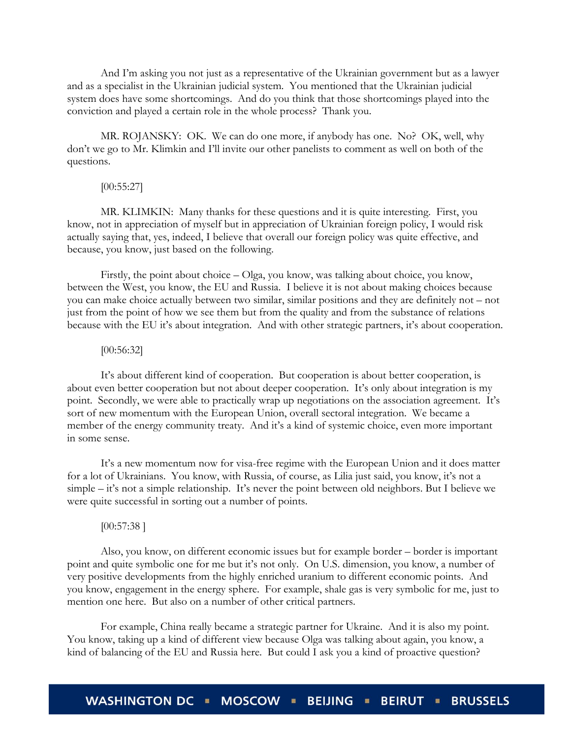And I'm asking you not just as a representative of the Ukrainian government but as a lawyer and as a specialist in the Ukrainian judicial system. You mentioned that the Ukrainian judicial system does have some shortcomings. And do you think that those shortcomings played into the conviction and played a certain role in the whole process? Thank you.

MR. ROJANSKY: OK. We can do one more, if anybody has one. No? OK, well, why don't we go to Mr. Klimkin and I'll invite our other panelists to comment as well on both of the questions.

#### [00:55:27]

MR. KLIMKIN: Many thanks for these questions and it is quite interesting. First, you know, not in appreciation of myself but in appreciation of Ukrainian foreign policy, I would risk actually saying that, yes, indeed, I believe that overall our foreign policy was quite effective, and because, you know, just based on the following.

Firstly, the point about choice – Olga, you know, was talking about choice, you know, between the West, you know, the EU and Russia. I believe it is not about making choices because you can make choice actually between two similar, similar positions and they are definitely not – not just from the point of how we see them but from the quality and from the substance of relations because with the EU it's about integration. And with other strategic partners, it's about cooperation.

# [00:56:32]

It's about different kind of cooperation. But cooperation is about better cooperation, is about even better cooperation but not about deeper cooperation. It's only about integration is my point. Secondly, we were able to practically wrap up negotiations on the association agreement. It's sort of new momentum with the European Union, overall sectoral integration. We became a member of the energy community treaty. And it's a kind of systemic choice, even more important in some sense.

It's a new momentum now for visa-free regime with the European Union and it does matter for a lot of Ukrainians. You know, with Russia, of course, as Lilia just said, you know, it's not a simple – it's not a simple relationship. It's never the point between old neighbors. But I believe we were quite successful in sorting out a number of points.

#### [00:57:38 ]

Also, you know, on different economic issues but for example border – border is important point and quite symbolic one for me but it's not only. On U.S. dimension, you know, a number of very positive developments from the highly enriched uranium to different economic points. And you know, engagement in the energy sphere. For example, shale gas is very symbolic for me, just to mention one here. But also on a number of other critical partners.

For example, China really became a strategic partner for Ukraine. And it is also my point. You know, taking up a kind of different view because Olga was talking about again, you know, a kind of balancing of the EU and Russia here. But could I ask you a kind of proactive question?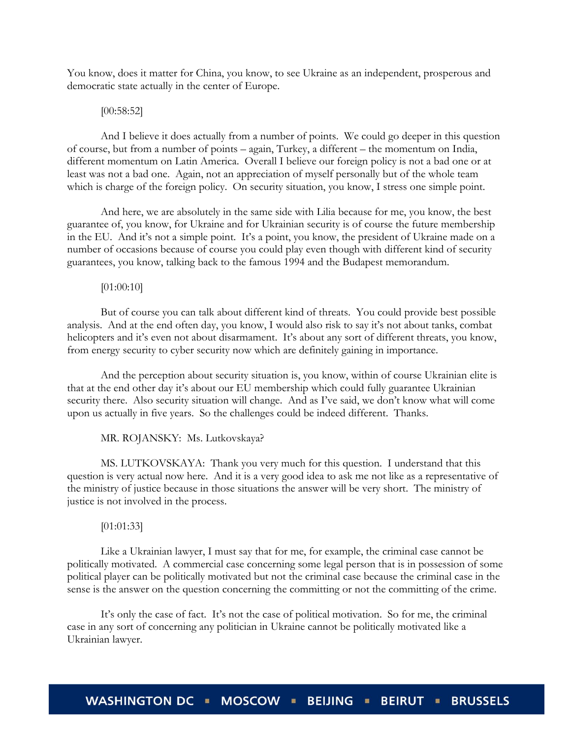You know, does it matter for China, you know, to see Ukraine as an independent, prosperous and democratic state actually in the center of Europe.

#### [00:58:52]

And I believe it does actually from a number of points. We could go deeper in this question of course, but from a number of points – again, Turkey, a different – the momentum on India, different momentum on Latin America. Overall I believe our foreign policy is not a bad one or at least was not a bad one. Again, not an appreciation of myself personally but of the whole team which is charge of the foreign policy. On security situation, you know, I stress one simple point.

And here, we are absolutely in the same side with Lilia because for me, you know, the best guarantee of, you know, for Ukraine and for Ukrainian security is of course the future membership in the EU. And it's not a simple point. It's a point, you know, the president of Ukraine made on a number of occasions because of course you could play even though with different kind of security guarantees, you know, talking back to the famous 1994 and the Budapest memorandum.

# [01:00:10]

But of course you can talk about different kind of threats. You could provide best possible analysis. And at the end often day, you know, I would also risk to say it's not about tanks, combat helicopters and it's even not about disarmament. It's about any sort of different threats, you know, from energy security to cyber security now which are definitely gaining in importance.

And the perception about security situation is, you know, within of course Ukrainian elite is that at the end other day it's about our EU membership which could fully guarantee Ukrainian security there. Also security situation will change. And as I've said, we don't know what will come upon us actually in five years. So the challenges could be indeed different. Thanks.

# MR. ROJANSKY: Ms. Lutkovskaya?

MS. LUTKOVSKAYA: Thank you very much for this question. I understand that this question is very actual now here. And it is a very good idea to ask me not like as a representative of the ministry of justice because in those situations the answer will be very short. The ministry of justice is not involved in the process.

#### [01:01:33]

Like a Ukrainian lawyer, I must say that for me, for example, the criminal case cannot be politically motivated. A commercial case concerning some legal person that is in possession of some political player can be politically motivated but not the criminal case because the criminal case in the sense is the answer on the question concerning the committing or not the committing of the crime.

It's only the case of fact. It's not the case of political motivation. So for me, the criminal case in any sort of concerning any politician in Ukraine cannot be politically motivated like a Ukrainian lawyer.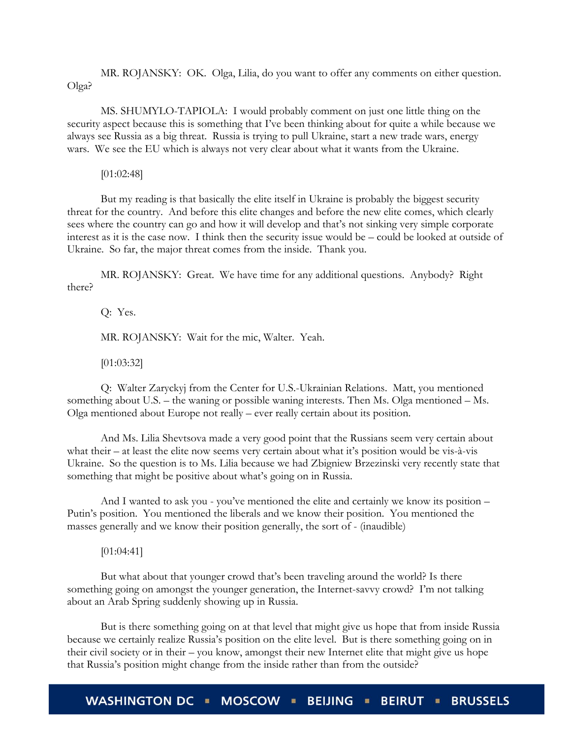MR. ROJANSKY: OK. Olga, Lilia, do you want to offer any comments on either question. Olga?

MS. SHUMYLO-TAPIOLA: I would probably comment on just one little thing on the security aspect because this is something that I've been thinking about for quite a while because we always see Russia as a big threat. Russia is trying to pull Ukraine, start a new trade wars, energy wars. We see the EU which is always not very clear about what it wants from the Ukraine.

[01:02:48]

But my reading is that basically the elite itself in Ukraine is probably the biggest security threat for the country. And before this elite changes and before the new elite comes, which clearly sees where the country can go and how it will develop and that's not sinking very simple corporate interest as it is the case now. I think then the security issue would be – could be looked at outside of Ukraine. So far, the major threat comes from the inside. Thank you.

MR. ROJANSKY: Great. We have time for any additional questions. Anybody? Right there?

Q: Yes. MR. ROJANSKY: Wait for the mic, Walter. Yeah.

[01:03:32]

Q: Walter Zaryckyj from the Center for U.S.-Ukrainian Relations. Matt, you mentioned something about U.S. – the waning or possible waning interests. Then Ms. Olga mentioned – Ms. Olga mentioned about Europe not really – ever really certain about its position.

And Ms. Lilia Shevtsova made a very good point that the Russians seem very certain about what their – at least the elite now seems very certain about what it's position would be vis-à-vis Ukraine. So the question is to Ms. Lilia because we had Zbigniew Brzezinski very recently state that something that might be positive about what's going on in Russia.

And I wanted to ask you - you've mentioned the elite and certainly we know its position – Putin's position. You mentioned the liberals and we know their position. You mentioned the masses generally and we know their position generally, the sort of - (inaudible)

[01:04:41]

But what about that younger crowd that's been traveling around the world? Is there something going on amongst the younger generation, the Internet-savvy crowd? I'm not talking about an Arab Spring suddenly showing up in Russia.

But is there something going on at that level that might give us hope that from inside Russia because we certainly realize Russia's position on the elite level. But is there something going on in their civil society or in their – you know, amongst their new Internet elite that might give us hope that Russia's position might change from the inside rather than from the outside?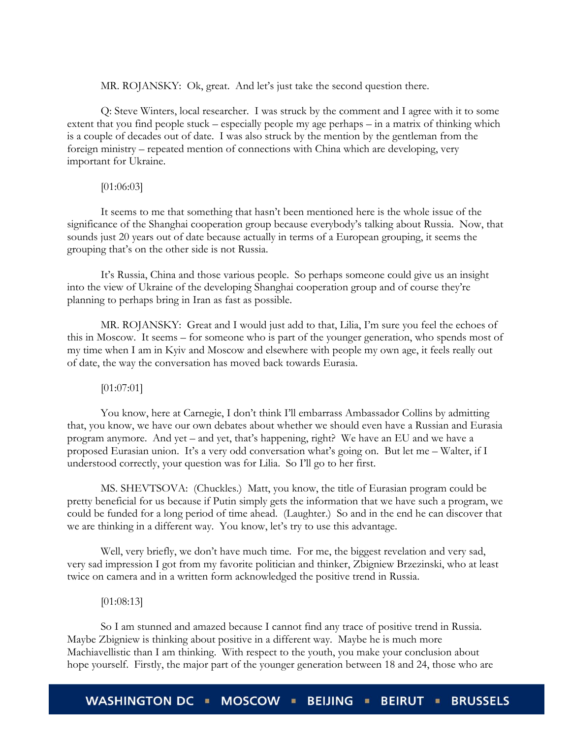MR. ROJANSKY: Ok, great. And let's just take the second question there.

Q: Steve Winters, local researcher. I was struck by the comment and I agree with it to some extent that you find people stuck – especially people my age perhaps – in a matrix of thinking which is a couple of decades out of date. I was also struck by the mention by the gentleman from the foreign ministry – repeated mention of connections with China which are developing, very important for Ukraine.

#### [01:06:03]

It seems to me that something that hasn't been mentioned here is the whole issue of the significance of the Shanghai cooperation group because everybody's talking about Russia. Now, that sounds just 20 years out of date because actually in terms of a European grouping, it seems the grouping that's on the other side is not Russia.

It's Russia, China and those various people. So perhaps someone could give us an insight into the view of Ukraine of the developing Shanghai cooperation group and of course they're planning to perhaps bring in Iran as fast as possible.

MR. ROJANSKY: Great and I would just add to that, Lilia, I'm sure you feel the echoes of this in Moscow. It seems – for someone who is part of the younger generation, who spends most of my time when I am in Kyiv and Moscow and elsewhere with people my own age, it feels really out of date, the way the conversation has moved back towards Eurasia.

# [01:07:01]

You know, here at Carnegie, I don't think I'll embarrass Ambassador Collins by admitting that, you know, we have our own debates about whether we should even have a Russian and Eurasia program anymore. And yet – and yet, that's happening, right? We have an EU and we have a proposed Eurasian union. It's a very odd conversation what's going on. But let me – Walter, if I understood correctly, your question was for Lilia. So I'll go to her first.

MS. SHEVTSOVA: (Chuckles.) Matt, you know, the title of Eurasian program could be pretty beneficial for us because if Putin simply gets the information that we have such a program, we could be funded for a long period of time ahead. (Laughter.) So and in the end he can discover that we are thinking in a different way. You know, let's try to use this advantage.

Well, very briefly, we don't have much time. For me, the biggest revelation and very sad, very sad impression I got from my favorite politician and thinker, Zbigniew Brzezinski, who at least twice on camera and in a written form acknowledged the positive trend in Russia.

#### [01:08:13]

So I am stunned and amazed because I cannot find any trace of positive trend in Russia. Maybe Zbigniew is thinking about positive in a different way. Maybe he is much more Machiavellistic than I am thinking. With respect to the youth, you make your conclusion about hope yourself. Firstly, the major part of the younger generation between 18 and 24, those who are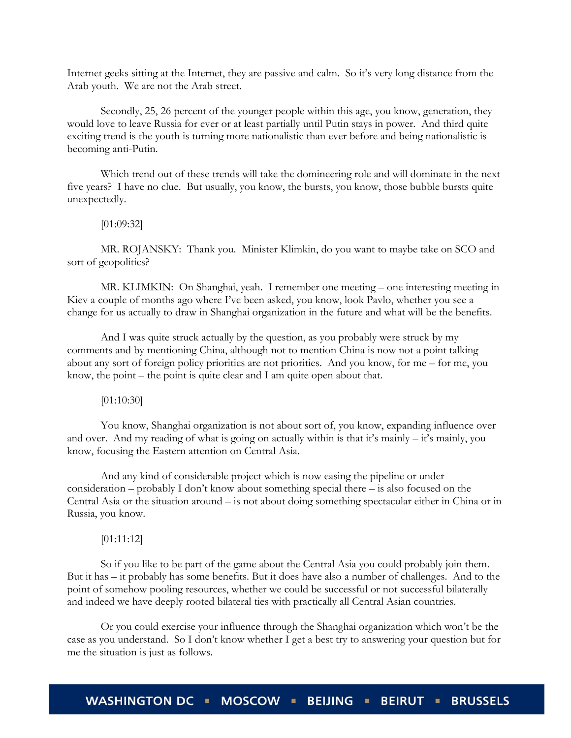Internet geeks sitting at the Internet, they are passive and calm. So it's very long distance from the Arab youth. We are not the Arab street.

Secondly, 25, 26 percent of the younger people within this age, you know, generation, they would love to leave Russia for ever or at least partially until Putin stays in power. And third quite exciting trend is the youth is turning more nationalistic than ever before and being nationalistic is becoming anti-Putin.

Which trend out of these trends will take the domineering role and will dominate in the next five years? I have no clue. But usually, you know, the bursts, you know, those bubble bursts quite unexpectedly.

# [01:09:32]

MR. ROJANSKY: Thank you. Minister Klimkin, do you want to maybe take on SCO and sort of geopolitics?

MR. KLIMKIN: On Shanghai, yeah. I remember one meeting – one interesting meeting in Kiev a couple of months ago where I've been asked, you know, look Pavlo, whether you see a change for us actually to draw in Shanghai organization in the future and what will be the benefits.

And I was quite struck actually by the question, as you probably were struck by my comments and by mentioning China, although not to mention China is now not a point talking about any sort of foreign policy priorities are not priorities. And you know, for me – for me, you know, the point – the point is quite clear and I am quite open about that.

[01:10:30]

You know, Shanghai organization is not about sort of, you know, expanding influence over and over. And my reading of what is going on actually within is that it's mainly – it's mainly, you know, focusing the Eastern attention on Central Asia.

And any kind of considerable project which is now easing the pipeline or under consideration – probably I don't know about something special there – is also focused on the Central Asia or the situation around – is not about doing something spectacular either in China or in Russia, you know.

# [01:11:12]

So if you like to be part of the game about the Central Asia you could probably join them. But it has – it probably has some benefits. But it does have also a number of challenges. And to the point of somehow pooling resources, whether we could be successful or not successful bilaterally and indeed we have deeply rooted bilateral ties with practically all Central Asian countries.

Or you could exercise your influence through the Shanghai organization which won't be the case as you understand. So I don't know whether I get a best try to answering your question but for me the situation is just as follows.